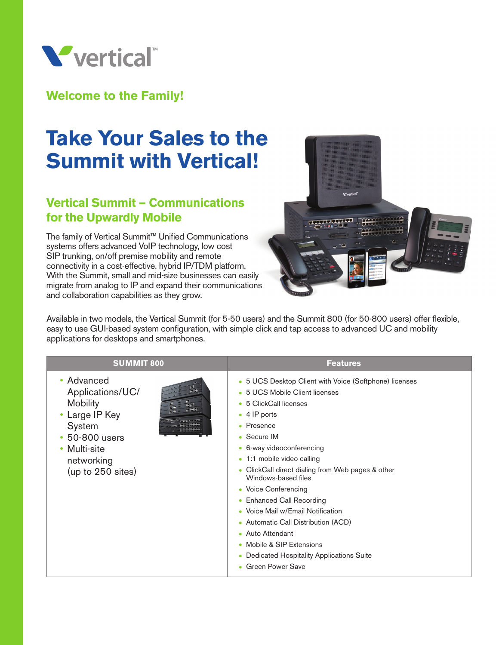

## **Welcome to the Family!**

## **Take Your Sales to the Summit with Vertical!**

## **Vertical Summit — Communications for the Upwardly Mobile**

The family of Vertical Summit™ Unified Communications systems offers advanced VoIP technology, low cost SIP trunking, on/off premise mobility and remote connectivity in a cost-effective, hybrid IP/TDM platform. With the Summit, small and mid-size businesses can easily migrate from analog to IP and expand their communications and collaboration capabilities as they grow.



Available in two models, the Vertical Summit (for 5-50 users) and the Summit 800 (for 50-800 users) offer flexible, easy to use GUI-based system configuration, with simple click and tap access to advanced UC and mobility applications for desktops and smartphones.

| <b>SUMMIT 800</b>                                                                                                                                                                                           | <b>Features</b>                                                                                                                                                                                                                                                                                                                                                                                                                                                                                                                                                  |
|-------------------------------------------------------------------------------------------------------------------------------------------------------------------------------------------------------------|------------------------------------------------------------------------------------------------------------------------------------------------------------------------------------------------------------------------------------------------------------------------------------------------------------------------------------------------------------------------------------------------------------------------------------------------------------------------------------------------------------------------------------------------------------------|
| • Advanced<br>Applications/UC/<br>e ed<br><b>Mobility</b><br>田田<br>中共計<br>• Large IP Key<br><b>CONTRACTOR</b><br>HAND ATTILE<br>System<br>• 50-800 users<br>• Multi-site<br>networking<br>(up to 250 sites) | • 5 UCS Desktop Client with Voice (Softphone) licenses<br>• 5 UCS Mobile Client licenses<br>• 5 ClickCall licenses<br>$\cdot$ 4 IP ports<br>• Presence<br>• Secure IM<br>• 6-way videoconferencing<br>1:1 mobile video calling<br>• ClickCall direct dialing from Web pages & other<br>Windows-based files<br>• Voice Conferencing<br>• Enhanced Call Recording<br>• Voice Mail w/Email Notification<br>• Automatic Call Distribution (ACD)<br>• Auto Attendant<br>• Mobile & SIP Extensions<br>• Dedicated Hospitality Applications Suite<br>• Green Power Save |